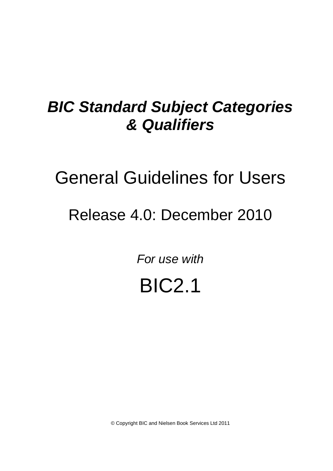## *BIC Standard Subject Categories & Qualifiers*

# General Guidelines for Users

## Release 4.0: December 2010

*For use with*

BIC2.1

© Copyright BIC and Nielsen Book Services Ltd 2011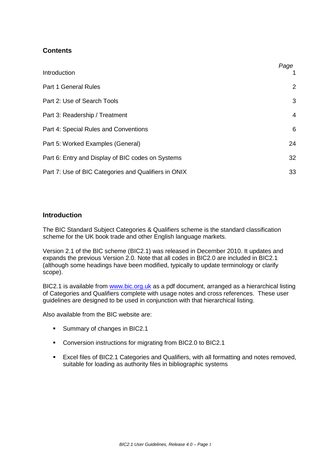## **Contents**

| Introduction                                         | Page |
|------------------------------------------------------|------|
| <b>Part 1 General Rules</b>                          | 2    |
| Part 2: Use of Search Tools                          | 3    |
| Part 3: Readership / Treatment                       | 4    |
| Part 4: Special Rules and Conventions                | 6    |
| Part 5: Worked Examples (General)                    | 24   |
| Part 6: Entry and Display of BIC codes on Systems    | 32   |
| Part 7: Use of BIC Categories and Qualifiers in ONIX | 33   |

## **Introduction**

The BIC Standard Subject Categories & Qualifiers scheme is the standard classification scheme for the UK book trade and other English language markets.

Version 2.1 of the BIC scheme (BIC2.1) was released in December 2010. It updates and expands the previous Version 2.0. Note that all codes in BIC2.0 are included in BIC2.1 (although some headings have been modified, typically to update terminology or clarify scope).

BIC2.1 is available from [www.bic.org.uk](http://www.bic.org.uk/) as a pdf document, arranged as a hierarchical listing of Categories and Qualifiers complete with usage notes and cross references. These user guidelines are designed to be used in conjunction with that hierarchical listing.

Also available from the BIC website are:

- **Summary of changes in BIC2.1**
- Conversion instructions for migrating from BIC2.0 to BIC2.1
- Excel files of BIC2.1 Categories and Qualifiers, with all formatting and notes removed, suitable for loading as authority files in bibliographic systems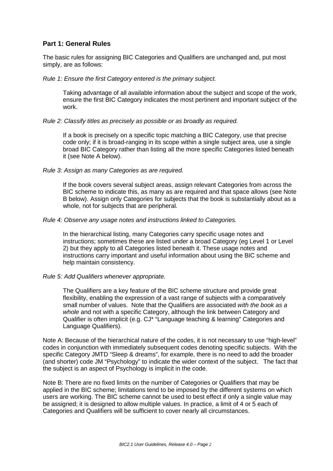## **Part 1: General Rules**

The basic rules for assigning BIC Categories and Qualifiers are unchanged and, put most simply, are as follows:

## *Rule 1: Ensure the first Category entered is the primary subject.*

Taking advantage of all available information about the subject and scope of the work, ensure the first BIC Category indicates the most pertinent and important subject of the work.

## *Rule 2: Classify titles as precisely as possible or as broadly as required.*

If a book is precisely on a specific topic matching a BIC Category, use that precise code only; if it is broad-ranging in its scope within a single subject area, use a single broad BIC Category rather than listing all the more specific Categories listed beneath it (see Note A below).

## *Rule 3: Assign as many Categories as are required.*

If the book covers several subject areas, assign relevant Categories from across the BIC scheme to indicate this, as many as are required and that space allows (see Note B below). Assign only Categories for subjects that the book is substantially about as a whole, not for subjects that are peripheral.

## *Rule 4: Observe any usage notes and instructions linked to Categories.*

In the hierarchical listing, many Categories carry specific usage notes and instructions; sometimes these are listed under a broad Category (eg Level 1 or Level 2) but they apply to all Categories listed beneath it. These usage notes and instructions carry important and useful information about using the BIC scheme and help maintain consistency.

## *Rule 5: Add Qualifiers whenever appropriate.*

The Qualifiers are a key feature of the BIC scheme structure and provide great flexibility, enabling the expression of a vast range of subjects with a comparatively small number of values. Note that the Qualifiers are associated *with the book as a whole* and not with a specific Category, although the link between Category and Qualifier is often implicit (e.g. CJ\* "Language teaching & learning" Categories and Language Qualifiers).

Note A: Because of the hierarchical nature of the codes, it is not necessary to use "high-level" codes in conjunction with immediately subsequent codes denoting specific subjects. With the specific Category JMTD "Sleep & dreams", for example, there is no need to add the broader (and shorter) code JM "Psychology" to indicate the wider context of the subject. The fact that the subject is an aspect of Psychology is implicit in the code.

Note B: There are no fixed limits on the number of Categories or Qualifiers that may be applied in the BIC scheme; limitations tend to be imposed by the different systems on which users are working. The BIC scheme cannot be used to best effect if only a single value may be assigned; it is designed to allow multiple values. In practice, a limit of 4 or 5 each of Categories and Qualifiers will be sufficient to cover nearly all circumstances.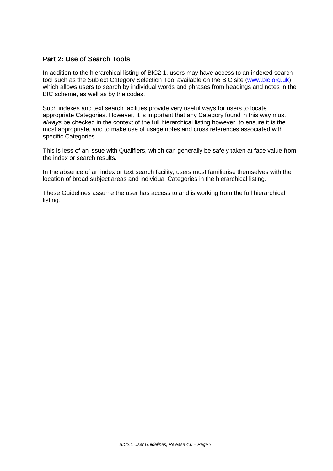## **Part 2: Use of Search Tools**

In addition to the hierarchical listing of BIC2.1, users may have access to an indexed search tool such as the Subject Category Selection Tool available on the BIC site [\(www.bic.org.uk\)](http://www.bic.org.uk/), which allows users to search by individual words and phrases from headings and notes in the BIC scheme, as well as by the codes.

Such indexes and text search facilities provide very useful ways for users to locate appropriate Categories. However, it is important that any Category found in this way must *always* be checked in the context of the full hierarchical listing however, to ensure it is the most appropriate, and to make use of usage notes and cross references associated with specific Categories.

This is less of an issue with Qualifiers, which can generally be safely taken at face value from the index or search results.

In the absence of an index or text search facility, users must familiarise themselves with the location of broad subject areas and individual Categories in the hierarchical listing.

These Guidelines assume the user has access to and is working from the full hierarchical listing.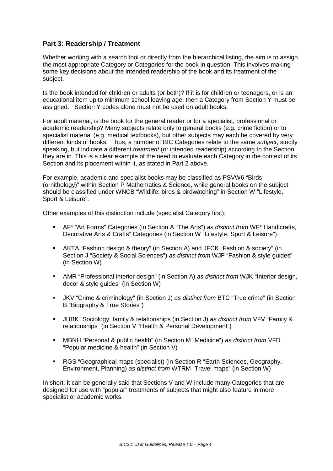## **Part 3: Readership / Treatment**

Whether working with a search tool or directly from the hierarchical listing, the aim is to assign the most appropriate Category or Categories for the book in question. This involves making some key decisions about the intended readership of the book and its treatment of the subject.

Is the book intended for children or adults (or both)? If it is for children or teenagers, or is an educational item up to minimum school leaving age, then a Category from Section Y must be assigned. Section Y codes alone must not be used on adult books.

For adult material, is the book for the general reader or for a specialist, professional or academic readership? Many subjects relate only to general books (e.g. crime fiction) or to specialist material (e.g. medical textbooks), but other subjects may each be covered by very different kinds of books. Thus, a number of BIC Categories relate to the same *subject*, strictly speaking, but indicate a different *treatment* (or intended readership) according to the Section they are in. This is a clear example of the need to evaluate each Category in the context of its Section and its placement within it, as stated in Part 2 above.

For example, academic and specialist books may be classified as PSVW6 "Birds (ornithology)" within Section P Mathematics & Science, while general books on the subject should be classified under WNCB "Wildlife: birds & birdwatching" in Section W "Lifestyle, Sport & Leisure".

Other examples of this distinction include (specialist Category first):

- AF\* "Art Forms" Categories (in Section A "The Arts") *as distinct from* WF\* Handicrafts, Decorative Arts & Crafts" Categories (in Section W "Lifestyle, Sport & Leisure")
- AKTA "Fashion design & theory" (in Section A) and JFCK "Fashion & society" (in Section J "Society & Social Sciences") *as distinct from* WJF "Fashion & style guides" (in Section W)
- AMR "Professional interior design" (in Section A) *as distinct from* WJK "Interior design, decor & style guides" (in Section W)
- JKV "Crime & criminology" (in Section J) *as distinct from* BTC "True crime" (in Section B "Biography & True Stories")
- JHBK "Sociology: family & relationships (in Section J) *as distinct from* VFV "Family & relationships" (in Section V "Health & Personal Development")
- MBNH "Personal & public health" (in Section M "Medicine") *as distinct from* VFD "Popular medicine & health" (in Section V)
- RGS "Geographical maps (specialist) (in Section R "Earth Sciences, Geography, Environment, Planning) *as distinct from* WTRM "Travel maps" (in Section W)

In short, it can be generally said that Sections V and W include many Categories that are designed for use with "popular" treatments of subjects that might also feature in more specialist or academic works.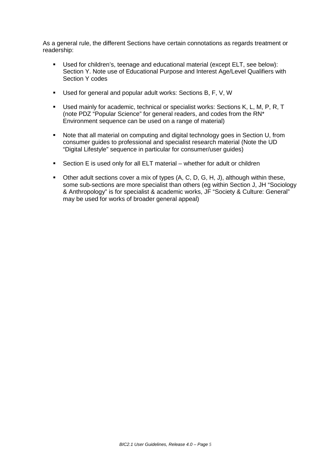As a general rule, the different Sections have certain connotations as regards treatment or readership:

- Used for children's, teenage and educational material (except ELT, see below): Section Y. Note use of Educational Purpose and Interest Age/Level Qualifiers with Section Y codes
- Used for general and popular adult works: Sections B, F, V, W
- **Used mainly for academic, technical or specialist works: Sections K, L, M, P, R, T** (note PDZ "Popular Science" for general readers, and codes from the RN\* Environment sequence can be used on a range of material)
- Note that all material on computing and digital technology goes in Section U, from consumer guides to professional and specialist research material (Note the UD "Digital Lifestyle" sequence in particular for consumer/user guides)
- Section E is used only for all ELT material whether for adult or children
- $\blacksquare$  Other adult sections cover a mix of types (A, C, D, G, H, J), although within these, some sub-sections are more specialist than others (eg within Section J, JH "Sociology & Anthropology" is for specialist & academic works, JF "Society & Culture: General" may be used for works of broader general appeal)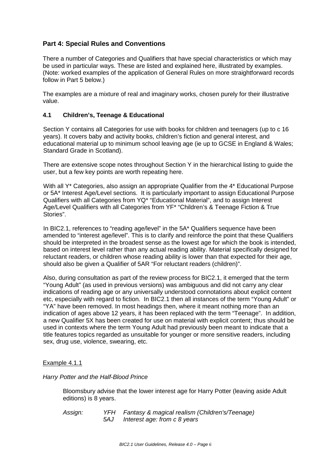## **Part 4: Special Rules and Conventions**

There a number of Categories and Qualifiers that have special characteristics or which may be used in particular ways. These are listed and explained here, illustrated by examples. (Note: worked examples of the application of General Rules on more straightforward records follow in Part 5 below.)

The examples are a mixture of real and imaginary works, chosen purely for their illustrative value.

## **4.1 Children's, Teenage & Educational**

Section Y contains all Categories for use with books for children and teenagers (up to c 16 years). It covers baby and activity books, children's fiction and general interest, and educational material up to minimum school leaving age (ie up to GCSE in England & Wales; Standard Grade in Scotland).

There are extensive scope notes throughout Section Y in the hierarchical listing to guide the user, but a few key points are worth repeating here.

With all Y<sup>\*</sup> Categories, also assign an appropriate Qualifier from the 4<sup>\*</sup> Educational Purpose or 5A\* Interest Age/Level sections. It is particularly important to assign Educational Purpose Qualifiers with all Categories from YQ\* "Educational Material", and to assign Interest Age/Level Qualifiers with all Categories from YF\* "Children's & Teenage Fiction & True Stories".

In BIC2.1, references to "reading age/level" in the 5A\* Qualifiers sequence have been amended to "interest age/level". This is to clarify and reinforce the point that these Qualifiers should be interpreted in the broadest sense as the lowest age for which the book is intended, based on interest level rather than any actual reading ability. Material specifically designed for reluctant readers, or children whose reading ability is lower than that expected for their age, should also be given a Qualifier of 5AR "For reluctant readers (children)".

Also, during consultation as part of the review process for BIC2.1, it emerged that the term "Young Adult" (as used in previous versions) was ambiguous and did not carry any clear indications of reading age or any universally understood connotations about explicit content etc, especially with regard to fiction. In BIC2.1 then all instances of the term "Young Adult" or "YA" have been removed. In most headings then, where it meant nothing more than an indication of ages above 12 years, it has been replaced with the term "Teenage". In addition, a new Qualifier 5X has been created for use on material with explicit content; thus should be used in contexts where the term Young Adult had previously been meant to indicate that a title features topics regarded as unsuitable for younger or more sensitive readers, including sex, drug use, violence, swearing, etc.

## Example 4.1.1

## *Harry Potter and the Half-Blood Prince*

Bloomsbury advise that the lower interest age for Harry Potter (leaving aside Adult editions) is 8 years.

*Assign: YFH Fantasy & magical realism (Children's/Teenage) 5AJ Interest age: from c 8 years*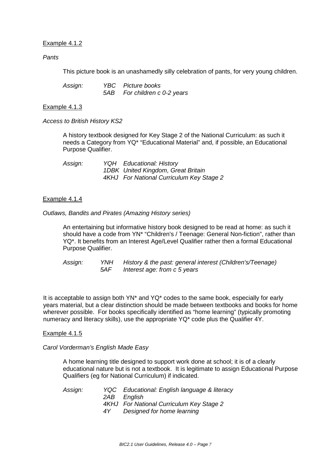## Example 4.1.2

## *Pants*

This picture book is an unashamedly silly celebration of pants, for very young children.

| Assign: | YBC Picture books            |
|---------|------------------------------|
|         | 5AB For children c 0-2 years |

## Example 4.1.3

*Access to British History KS2* 

A history textbook designed for Key Stage 2 of the National Curriculum: as such it needs a Category from YQ\* "Educational Material" and, if possible, an Educational Purpose Qualifier.

| Assign: | <b>YQH</b> Educational: History          |
|---------|------------------------------------------|
|         | 1DBK United Kingdom, Great Britain       |
|         | 4KHJ For National Curriculum Key Stage 2 |

## Example 4.1.4

*Outlaws, Bandits and Pirates (Amazing History series)*

An entertaining but informative history book designed to be read at home: as such it should have a code from YN\* "Children's / Teenage: General Non-fiction", rather than YQ\*. It benefits from an Interest Age/Level Qualifier rather then a formal Educational Purpose Qualifier.

*Assign: YNH History & the past: general interest (Children's/Teenage) Interest age: from c 5 years* 

It is acceptable to assign both YN\* and YQ\* codes to the same book, especially for early years material, but a clear distinction should be made between textbooks and books for home wherever possible. For books specifically identified as "home learning" (typically promoting numeracy and literacy skills), use the appropriate YQ\* code plus the Qualifier 4Y.

## Example 4.1.5

## *Carol Vorderman's English Made Easy*

A home learning title designed to support work done at school; it is of a clearly educational nature but is not a textbook. It is legitimate to assign Educational Purpose Qualifiers (eg for National Curriculum) if indicated.

*Assign: YQC Educational: English language & literacy 2AB English 4KHJ For National Curriculum Key Stage 2 4Y Designed for home learning*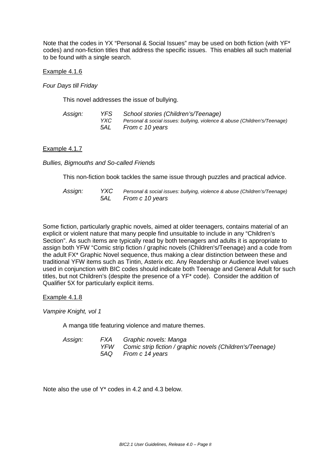Note that the codes in YX "Personal & Social Issues" may be used on both fiction (with YF\* codes) and non-fiction titles that address the specific issues. This enables all such material to be found with a single search.

## Example 4.1.6

*Four Days till Friday* 

This novel addresses the issue of bullying.

| Assign: | YFS   | School stories (Children's/Teenage)                                       |
|---------|-------|---------------------------------------------------------------------------|
|         | YXC   | Personal & social issues: bullying, violence & abuse (Children's/Teenage) |
|         | 5AL - | From c 10 years                                                           |

## Example 4.1.7

*Bullies, Bigmouths and So-called Friends*

This non-fiction book tackles the same issue through puzzles and practical advice.

| Assign: | YXC | Personal & social issues: bullying, violence & abuse (Children's/Teenage) |
|---------|-----|---------------------------------------------------------------------------|
|         |     | 5AL From c 10 years                                                       |

Some fiction, particularly graphic novels, aimed at older teenagers, contains material of an explicit or violent nature that many people find unsuitable to include in any "Children's Section". As such items are typically read by both teenagers and adults it is appropriate to assign both YFW "Comic strip fiction / graphic novels (Children's/Teenage) and a code from the adult FX\* Graphic Novel sequence, thus making a clear distinction between these and traditional YFW items such as Tintin, Asterix etc. Any Readership or Audience level values used in conjunction with BIC codes should indicate both Teenage and General Adult for such titles, but not Children's (despite the presence of a YF\* code). Consider the addition of Qualifier 5X for particularly explicit items.

Example 4.1.8

*Vampire Knight, vol 1*

A manga title featuring violence and mature themes.

| Assign: | FXA | Graphic novels: Manga                                     |
|---------|-----|-----------------------------------------------------------|
|         | YFW | Comic strip fiction / graphic novels (Children's/Teenage) |
|         | 5AO | From c 14 years                                           |

Note also the use of Y\* codes in 4.2 and 4.3 below.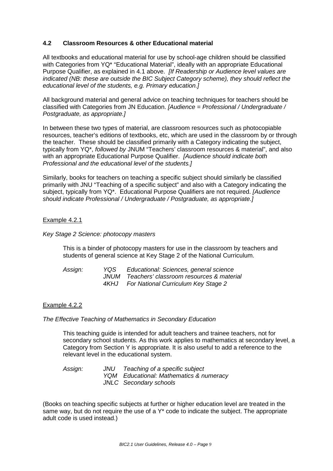## **4.2 Classroom Resources & other Educational material**

All textbooks and educational material for use by school-age children should be classified with Categories from YQ<sup>\*</sup> "Educational Material", ideally with an appropriate Educational Purpose Qualifier, as explained in 4.1 above. *[If Readership or Audience level values are indicated (NB: these are outside the BIC Subject Category scheme), they should reflect the educational level of the students, e.g. Primary education.]*

All background material and general advice on teaching techniques for teachers should be classified with Categories from JN Education. *[Audience = Professional / Undergraduate / Postgraduate, as appropriate.]* 

In between these two types of material, are classroom resources such as photocopiable resources, teacher's editions of textbooks, etc, which are used in the classroom by or through the teacher. These should be classified primarily with a Category indicating the subject, typically from YQ\*, *followed by* JNUM "Teachers' classroom resources & material", and also with an appropriate Educational Purpose Qualifier. *[Audience should indicate both Professional and the educational level of the students.]*

Similarly, books for teachers on teaching a specific subject should similarly be classified primarily with JNU "Teaching of a specific subject" and also with a Category indicating the subject, typically from YQ\*. Educational Purpose Qualifiers are not required. *[Audience should indicate Professional / Undergraduate / Postgraduate, as appropriate.]* 

## Example 4.2.1

*Key Stage 2 Science: photocopy masters*

This is a binder of photocopy masters for use in the classroom by teachers and students of general science at Key Stage 2 of the National Curriculum.

| Assign: | YOS   | Educational: Sciences, general science        |
|---------|-------|-----------------------------------------------|
|         |       | JNUM Teachers' classroom resources & material |
|         | 4KHJ. | <b>For National Curriculum Key Stage 2</b>    |

## Example 4.2.2

## *The Effective Teaching of Mathematics in Secondary Education*

This teaching guide is intended for adult teachers and trainee teachers, not for secondary school students. As this work applies to mathematics at secondary level, a Category from Section Y is appropriate. It is also useful to add a reference to the relevant level in the educational system.

*Assign: JNU Teaching of a specific subject YQM Educational: Mathematics & numeracy JNLC Secondary schools*

(Books on teaching specific subjects at further or higher education level are treated in the same way, but do not require the use of a Y<sup>\*</sup> code to indicate the subject. The appropriate adult code is used instead.)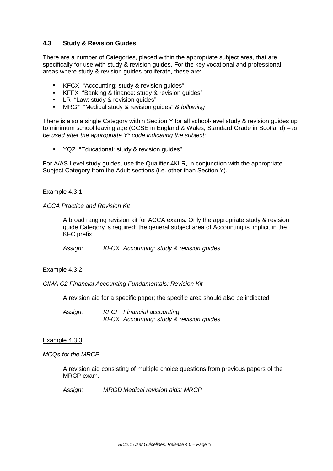## **4.3 Study & Revision Guides**

There are a number of Categories, placed within the appropriate subject area, that are specifically for use with study & revision guides. For the key vocational and professional areas where study & revision guides proliferate, these are:

- KFCX "Accounting: study & revision guides"
- KFFX "Banking & finance: study & revision guides"
- **EX** "Law: study & revision quides"
- MRG\* "Medical study & revision guides" *& following*

There is also a single Category within Section Y for all school-level study & revision guides up to minimum school leaving age (GCSE in England & Wales, Standard Grade in Scotland) – *to be used after the appropriate Y\* code indicating the subject*:

YQZ "Educational: study & revision guides"

For A/AS Level study guides, use the Qualifier 4KLR, in conjunction with the appropriate Subject Category from the Adult sections (i.e. other than Section Y).

## Example 4.3.1

## *ACCA Practice and Revision Kit*

A broad ranging revision kit for ACCA exams. Only the appropriate study & revision guide Category is required; the general subject area of Accounting is implicit in the KFC prefix

*Assign: KFCX Accounting: study & revision guides*

## Example 4.3.2

*CIMA C2 Financial Accounting Fundamentals: Revision Kit*

A revision aid for a specific paper; the specific area should also be indicated

*Assign: KFCF Financial accounting KFCX Accounting: study & revision guides*

## Example 4.3.3

*MCQs for the MRCP*

A revision aid consisting of multiple choice questions from previous papers of the MRCP exam.

*Assign: MRGD Medical revision aids: MRCP*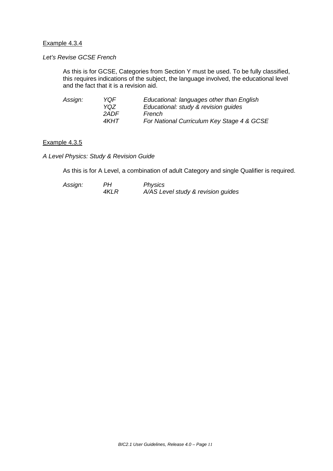## Example 4.3.4

## *Let's Revise GCSE French*

As this is for GCSE, Categories from Section Y must be used. To be fully classified, this requires indications of the subject, the language involved, the educational level and the fact that it is a revision aid.

| YOF   | Educational: languages other than English  |
|-------|--------------------------------------------|
| YQZ.  | Educational: study & revision guides       |
| 2ADE. | French                                     |
| 4KHT. | For National Curriculum Key Stage 4 & GCSE |
|       |                                            |

## Example 4.3.5

*A Level Physics: Study & Revision Guide* 

As this is for A Level, a combination of adult Category and single Qualifier is required.

| Assign: | PН   | <b>Physics</b>                     |
|---------|------|------------------------------------|
|         | 4KLR | A/AS Level study & revision guides |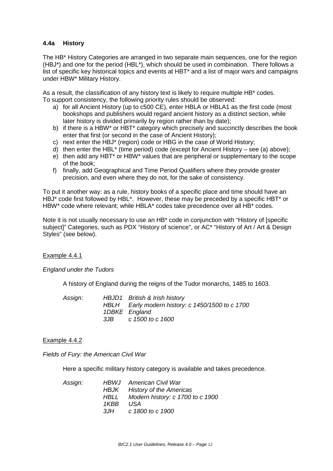## **4.4a History**

The HB\* History Categories are arranged in two separate main sequences, one for the region (HBJ\*) and one for the period (HBL\*), which should be used in combination. There follows a list of specific key historical topics and events at HBT\* and a list of major wars and campaigns under HBW\* Military History.

As a result, the classification of any history text is likely to require multiple HB\* codes. To support consistency, the following priority rules should be observed:

- a) for all Ancient History (up to c500 CE), enter HBLA or HBLA1 as the first code (most bookshops and publishers would regard ancient history as a distinct section, while later history is divided primarily by region rather than by date);
- b) if there is a HBW\* or HBT\* category which precisely and succinctly describes the book enter that first (or second in the case of Ancient History);
- c) next enter the HBJ\* (region) code or HBG in the case of World History;
- d) then enter the HBL\* (time period) code (except for Ancient History see (a) above);
- e) then add any HBT\* or HBW\* values that are peripheral or supplementary to the scope of the book;
- f) finally, add Geographical and Time Period Qualifiers where they provide greater precision, and even where they do not, for the sake of consistency.

To put it another way: as a rule, history books of a specific place and time should have an HBJ<sup>\*</sup> code first followed by HBL<sup>\*</sup>. However, these may be preceded by a specific HBT<sup>\*</sup> or HBW\* code where relevant; while HBLA\* codes take precedence over all HB\* codes.

Note it is not usually necessary to use an HB\* code in conjunction with "History of [specific subject]" Categories, such as PDX "History of science", or AC\* "History of Art / Art & Design Styles" (see below).

## Example 4.4.1

## *England under the Tudors*

A history of England during the reigns of the Tudor monarchs, 1485 to 1603.

| Assign: |     | HBJD1 British & Irish history                    |
|---------|-----|--------------------------------------------------|
|         |     | HBLH Early modern history: c 1450/1500 to c 1700 |
|         |     | 1DBKE England                                    |
|         | 3JB | c 1500 to c 1600                                 |

## Example 4.4.2

*Fields of Fury: the American Civil War*

Here a specific military history category is available and takes precedence.

|      | <b>HBWJ</b> American Civil War        |
|------|---------------------------------------|
|      | HBJK History of the Americas          |
|      | HBLL Modern history: c 1700 to c 1900 |
| 1KBB | USA                                   |
| 3JH  | c 1800 to c 1900                      |
|      |                                       |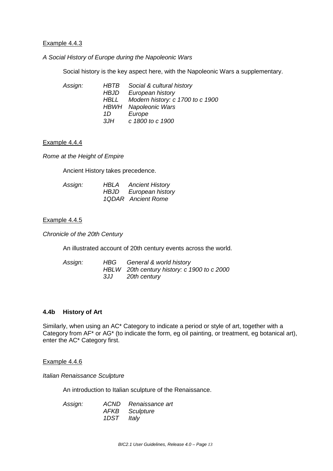## Example 4.4.3

*A Social History of Europe during the Napoleonic Wars*

Social history is the key aspect here, with the Napoleonic Wars a supplementary.

| Assign: | HBTB | Social & cultural history        |
|---------|------|----------------------------------|
|         | HBJD | European history                 |
|         | HBLL | Modern history: c 1700 to c 1900 |
|         |      | <b>HBWH</b> Napoleonic Wars      |
|         | 1D   | Europe                           |
|         | 3JH  | c 1800 to c 1900                 |

## Example 4.4.4

*Rome at the Height of Empire*

Ancient History takes precedence.

| Assign: | HBLA | <b>Ancient History</b> |
|---------|------|------------------------|
|         |      | HBJD European history  |
|         |      | 1QDAR Ancient Rome     |

## Example 4.4.5

*Chronicle of the 20th Century*

An illustrated account of 20th century events across the world.

| Assign: |     | HBG General & world history                 |
|---------|-----|---------------------------------------------|
|         |     | HBLW 20th century history: c 1900 to c 2000 |
|         | 3JJ | 20th century                                |

## **4.4b History of Art**

Similarly, when using an AC\* Category to indicate a period or style of art, together with a Category from AF\* or AG\* (to indicate the form, eg oil painting, or treatment, eg botanical art), enter the AC\* Category first.

## Example 4.4.6

*Italian Renaissance Sculpture* 

An introduction to Italian sculpture of the Renaissance.

| Assign: |            | ACND Renaissance art |
|---------|------------|----------------------|
|         |            | AFKB Sculpture       |
|         | 1DST Italy |                      |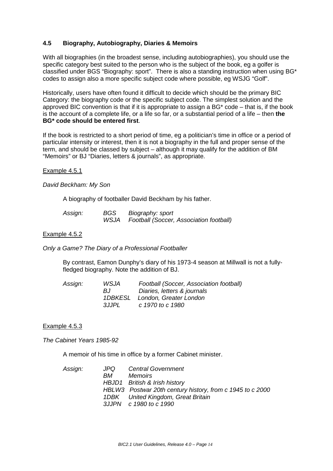## **4.5 Biography, Autobiography, Diaries & Memoirs**

With all biographies (in the broadest sense, including autobiographies), you should use the specific category best suited to the person who is the subject of the book, eg a golfer is classified under BGS "Biography: sport". There is also a standing instruction when using BG\* codes to assign also a more specific subject code where possible, eg WSJG "Golf".

Historically, users have often found it difficult to decide which should be the primary BIC Category: the biography code or the specific subject code. The simplest solution and the approved BIC convention is that if it is appropriate to assign a  $BG<sup>*</sup> code – that is, if the book$ is the account of a complete life, or a life so far, or a substantial period of a life – then **the BG\* code should be entered first**.

If the book is restricted to a short period of time, eg a politician's time in office or a period of particular intensity or interest, then it is not a biography in the full and proper sense of the term, and should be classed by subject – although it may qualify for the addition of BM "Memoirs" or BJ "Diaries, letters & journals", as appropriate.

## Example 4.5.1

## *David Beckham: My Son*

A biography of footballer David Beckham by his father.

| Assign: | BGS  | Biography: sport                        |
|---------|------|-----------------------------------------|
|         | WSJA | Football (Soccer, Association football) |

## Example 4.5.2

*Only a Game? The Diary of a Professional Footballer* 

By contrast, Eamon Dunphy's diary of his 1973-4 season at Millwall is not a fullyfledged biography. Note the addition of BJ.

## Example 4.5.3

*The Cabinet Years 1985-92*

A memoir of his time in office by a former Cabinet minister.

| Assign: | JPQ | <b>Central Government</b>                                 |
|---------|-----|-----------------------------------------------------------|
|         | BM. | <b>Memoirs</b>                                            |
|         |     | HBJD1 British & Irish history                             |
|         |     | HBLW3 Postwar 20th century history, from c 1945 to c 2000 |
|         |     | 1DBK United Kingdom, Great Britain                        |
|         |     | 3JJPN c 1980 to c 1990                                    |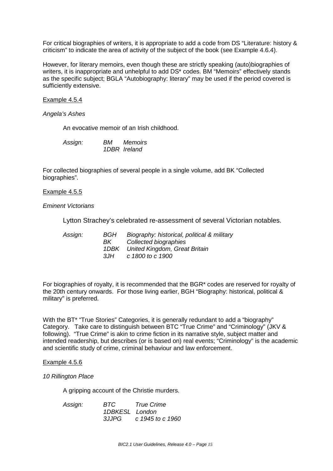For critical biographies of writers, it is appropriate to add a code from DS "Literature: history & criticism" to indicate the area of activity of the subject of the book (see Example 4.6.4).

However, for literary memoirs, even though these are strictly speaking (auto)biographies of writers, it is inappropriate and unhelpful to add DS\* codes. BM "Memoirs" effectively stands as the specific subject; BGLA "Autobiography: literary" may be used if the period covered is sufficiently extensive.

## Example 4.5.4

*Angela's Ashes*

An evocative memoir of an Irish childhood.

| Assign: | BМ | <b>Memoirs</b> |
|---------|----|----------------|
|         |    | 1DBR Ireland   |

For collected biographies of several people in a single volume, add BK "Collected biographies".

## Example 4.5.5

*Eminent Victorians*

Lytton Strachey's celebrated re-assessment of several Victorian notables.

| BGH  | Biography: historical, political & military |
|------|---------------------------------------------|
| BK . | Collected biographies                       |
|      | 1DBK United Kingdom, Great Britain          |
| 3JH  | c 1800 to c 1900                            |
|      |                                             |

For biographies of royalty, it is recommended that the BGR\* codes are reserved for royalty of the 20th century onwards. For those living earlier, BGH "Biography: historical, political & military" is preferred.

With the BT\* "True Stories" Categories, it is generally redundant to add a "biography" Category. Take care to distinguish between BTC "True Crime" and "Criminology" (JKV & following). "True Crime" is akin to crime fiction in its narrative style, subject matter and intended readership, but describes (or is based on) real events; "Criminology" is the academic and scientific study of crime, criminal behaviour and law enforcement.

## Example 4.5.6

## *10 Rillington Place*

A gripping account of the Christie murders.

| Assign: | BTC            | True Crime       |
|---------|----------------|------------------|
|         | 1DBKESL London |                  |
|         | 3.IJPG         | c 1945 to c 1960 |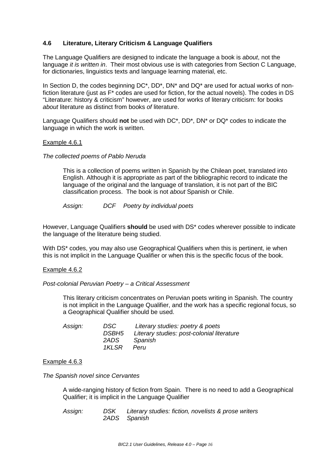## **4.6 Literature, Literary Criticism & Language Qualifiers**

The Language Qualifiers are designed to indicate the language a book is *about*, not the language *it is written in*. Their most obvious use is with categories from Section C Language, for dictionaries, linguistics texts and language learning material, etc.

In Section D, the codes beginning DC\*, DD\*, DN\* and DQ\* are used for actual works of nonfiction literature (just as F\* codes are used for fiction, for the actual novels). The codes in DS "Literature: history & criticism" however, are used for works of literary criticism: for books *about* literature as distinct from books *of* literature.

Language Qualifiers should **not** be used with DC\*, DD\*, DN\* or DQ\* codes to indicate the language in which the work is written.

## Example 4.6.1

## *The collected poems of Pablo Neruda*

This is a collection of poems written in Spanish by the Chilean poet, translated into English. Although it is appropriate as part of the bibliographic record to indicate the language of the original and the language of translation, it is not part of the BIC classification process. The book is not *about* Spanish or Chile.

*Assign: DCF Poetry by individual poets*

However, Language Qualifiers **should** be used with DS\* codes wherever possible to indicate the language of the literature being studied.

With DS<sup>\*</sup> codes, you may also use Geographical Qualifiers when this is pertinent, ie when this is not implicit in the Language Qualifier or when this is the specific focus of the book.

## Example 4.6.2

## *Post-colonial Peruvian Poetry – a Critical Assessment*

This literary criticism concentrates on Peruvian poets writing in Spanish. The country is not implicit in the Language Qualifier, and the work has a specific regional focus, so a Geographical Qualifier should be used.

| DSC   | Literary studies: poetry & poets           |
|-------|--------------------------------------------|
| DSBH5 | Literary studies: post-colonial literature |
| 2ADS  | Spanish                                    |
| 1KLSR | Peru                                       |
|       |                                            |

## Example 4.6.3

*The Spanish novel since Cervantes*

A wide-ranging history of fiction from Spain. There is no need to add a Geographical Qualifier; it is implicit in the Language Qualifier

*Assign: DSK Literary studies: fiction, novelists & prose writers 2ADS Spanish*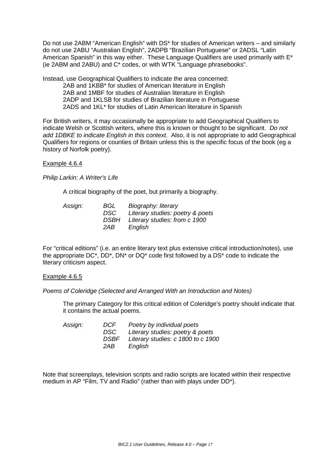Do not use 2ABM "American English" with DS\* for studies of American writers – and similarly do not use 2ABU "Australian English", 2ADPB "Brazilian Portuguese" or 2ADSL "Latin American Spanish" in this way either. These Language Qualifiers are used primarily with E<sup>\*</sup> (ie 2ABM and 2ABU) and C\* codes, or with WTK "Language phrasebooks".

Instead, use Geographical Qualifiers to indicate the area concerned: 2AB and 1KBB\* for studies of American literature in English 2AB and 1MBF for studies of Australian literature in English 2ADP and 1KLSB for studies of Brazilian literature in Portuguese 2ADS and 1KL\* for studies of Latin American literature in Spanish

For British writers, it may occasionally be appropriate to add Geographical Qualifiers to indicate Welsh or Scottish writers, where this is known or thought to be significant. *Do not add 1DBKE to indicate English in this context.* Also, it is not appropriate to add Geographical Qualifiers for regions or counties of Britain unless this is the specific focus of the book (eg a history of Norfolk poetry).

## Example 4.6.4

*Philip Larkin: A Writer's Life*

A critical biography of the poet, but primarily a biography.

| Assign: | BGL  | Biography: literary              |
|---------|------|----------------------------------|
|         | DSC. | Literary studies: poetry & poets |
|         | DSBH | Literary studies: from c 1900    |
|         | 2AB  | English                          |
|         |      |                                  |

For "critical editions" (i.e. an entire literary text plus extensive critical introduction/notes), use the appropriate DC\*, DD\*, DN\* or DQ\* code first followed by a DS\* code to indicate the literary criticism aspect.

## Example 4.6.5

*Poems of Coleridge (Selected and Arranged With an Introduction and Notes)*

The primary Category for this critical edition of Coleridge's poetry should indicate that it contains the actual poems.

| Assign: | DCF         | Poetry by individual poets         |
|---------|-------------|------------------------------------|
|         | DSC.        | Literary studies: poetry & poets   |
|         | <i>DSBF</i> | Literary studies: c 1800 to c 1900 |
|         | 2AB         | English                            |

Note that screenplays, television scripts and radio scripts are located within their respective medium in AP "Film, TV and Radio" (rather than with plays under DD\*).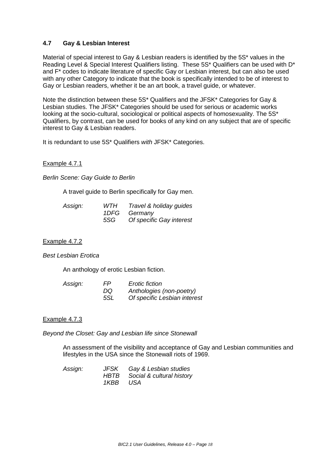## **4.7 Gay & Lesbian Interest**

Material of special interest to Gay & Lesbian readers is identified by the 5S\* values in the Reading Level & Special Interest Qualifiers listing. These 5S\* Qualifiers can be used with D\* and F\* codes to indicate literature of specific Gay or Lesbian interest, but can also be used with any other Category to indicate that the book is specifically intended to be of interest to Gay or Lesbian readers, whether it be an art book, a travel guide, or whatever.

Note the distinction between these 5S\* Qualifiers and the JFSK\* Categories for Gay & Lesbian studies. The JFSK\* Categories should be used for serious or academic works looking at the socio-cultural, sociological or political aspects of homosexuality. The 5S\* Qualifiers, by contrast, can be used for books of any kind on any subject that are of specific interest to Gay & Lesbian readers.

It is redundant to use 5S\* Qualifiers *with* JFSK\* Categories.

## Example 4.7.1

*Berlin Scene: Gay Guide to Berlin*

A travel guide to Berlin specifically for Gay men.

| Assign: | WTH  | Travel & holiday guides  |
|---------|------|--------------------------|
|         | 1DFG | Germanv                  |
|         | 5SG  | Of specific Gay interest |

## Example 4.7.2

*Best Lesbian Erotica*

An anthology of erotic Lesbian fiction.

| Assign: | FP. | <b>Erotic fiction</b>        |
|---------|-----|------------------------------|
|         | DQ  | Anthologies (non-poetry)     |
|         | 5SL | Of specific Lesbian interest |

## Example 4.7.3

*Beyond the Closet: Gay and Lesbian life since Stonewall*

An assessment of the visibility and acceptance of Gay and Lesbian communities and lifestyles in the USA since the Stonewall riots of 1969.

| Assign: |          | JFSK Gay & Lesbian studies     |
|---------|----------|--------------------------------|
|         |          | HBTB Social & cultural history |
|         | 1KBB USA |                                |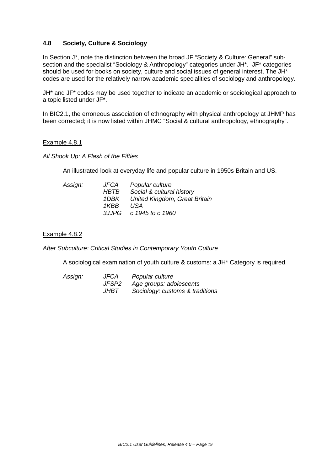## **4.8 Society, Culture & Sociology**

In Section J\*, note the distinction between the broad JF "Society & Culture: General" subsection and the specialist "Sociology & Anthropology" categories under JH\*. JF\* categories should be used for books on society, culture and social issues of general interest, The JH\* codes are used for the relatively narrow academic specialities of sociology and anthropology.

JH\* and JF\* codes may be used together to indicate an academic or sociological approach to a topic listed under JF\*.

In BIC2.1, the erroneous association of ethnography with physical anthropology at JHMP has been corrected; it is now listed within JHMC "Social & cultural anthropology, ethnography".

## Example 4.8.1

*All Shook Up: A Flash of the Fifties*

An illustrated look at everyday life and popular culture in 1950s Britain and US.

| Assign: | JFCA   | Popular culture               |
|---------|--------|-------------------------------|
|         | HBTB   | Social & cultural history     |
|         | 1DBK - | United Kingdom, Great Britain |
|         | 1KBB   | USA                           |
|         |        | 3JJPG c 1945 to c 1960        |

## Example 4.8.2

*After Subculture: Critical Studies in Contemporary Youth Culture*

A sociological examination of youth culture & customs: a JH\* Category is required.

| Assign: | <b>JFCA</b> | Popular culture                 |
|---------|-------------|---------------------------------|
|         | JFSP2       | Age groups: adolescents         |
|         | JHBT        | Sociology: customs & traditions |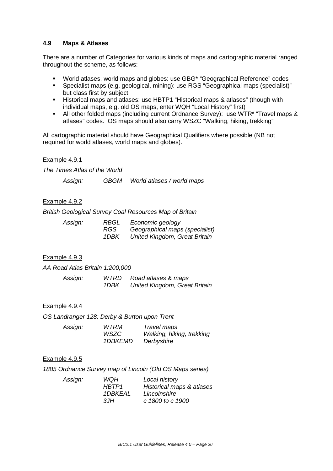## **4.9 Maps & Atlases**

There are a number of Categories for various kinds of maps and cartographic material ranged throughout the scheme, as follows:

- World atlases, world maps and globes: use GBG\* "Geographical Reference" codes
- Specialist maps (e.g. geological, mining): use RGS "Geographical maps (specialist)" but class first by subject
- Historical maps and atlases: use HBTP1 "Historical maps & atlases" (though with individual maps, e.g. old OS maps, enter WQH "Local History" first)
- All other folded maps (including current Ordnance Survey): use WTR\* "Travel maps & atlases" codes. OS maps should also carry WSZC "Walking, hiking, trekking"

All cartographic material should have Geographical Qualifiers where possible (NB not required for world atlases, world maps and globes).

## Example 4.9.1

*The Times Atlas of the World*

*Assign: GBGM World atlases / world maps*

## Example 4.9.2

*British Geological Survey Coal Resources Map of Britain*

| Assign: | RBGL | Economic geology               |
|---------|------|--------------------------------|
|         | RGS. | Geographical maps (specialist) |
|         | 1DBK | United Kingdom, Great Britain  |

## Example 4.9.3

*AA Road Atlas Britain 1:200,000* 

| Assign: | WTRD | Road atlases & maps           |
|---------|------|-------------------------------|
|         | 1DBK | United Kingdom, Great Britain |

## Example 4.9.4

*OS Landranger 128: Derby & Burton upon Trent* 

| Assign: | <b>WTRM</b>    | Travel maps               |
|---------|----------------|---------------------------|
|         | WSZC           | Walking, hiking, trekking |
|         | <i>1DBKEMD</i> | Derbyshire                |

## Example 4.9.5

*1885 Ordnance Survey map of Lincoln (Old OS Maps series)* 

| WQH     | Local history             |
|---------|---------------------------|
| HBTP1   | Historical maps & atlases |
| 1DBKEAL | Lincolnshire              |
| 3JH     | c 1800 to c 1900          |
|         |                           |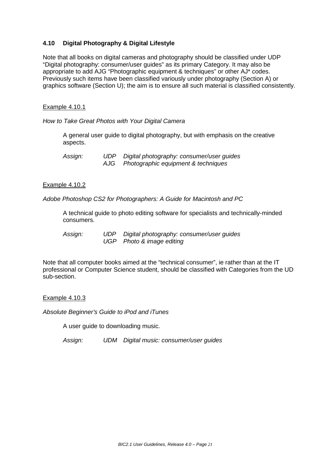## **4.10 Digital Photography & Digital Lifestyle**

Note that all books on digital cameras and photography should be classified under UDP "Digital photography: consumer/user guides" as its primary Category. It may also be appropriate to add AJG "Photographic equipment & techniques" or other AJ\* codes. Previously such items have been classified variously under photography (Section A) or graphics software (Section U); the aim is to ensure all such material is classified consistently.

## Example 4.10.1

*How to Take Great Photos with Your Digital Camera*

A general user guide to digital photography, but with emphasis on the creative aspects.

*Assign: UDP Digital photography: consumer/user guides Photographic equipment & techniques* 

## Example 4.10.2

*Adobe Photoshop CS2 for Photographers: A Guide for Macintosh and PC*

A technical guide to photo editing software for specialists and technically-minded consumers.

*Assign: UDP Digital photography: consumer/user guides UGP Photo & image editing*

Note that all computer books aimed at the "technical consumer", ie rather than at the IT professional or Computer Science student, should be classified with Categories from the UD sub-section.

## Example 4.10.3

*Absolute Beginner's Guide to iPod and iTunes* 

A user guide to downloading music.

*Assign: UDM Digital music: consumer/user guides*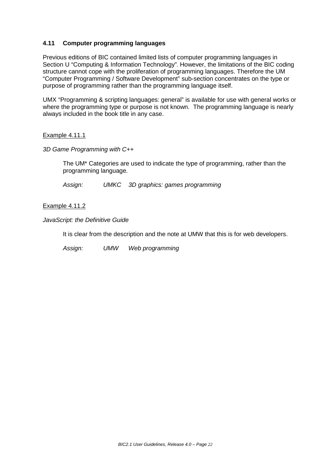## **4.11 Computer programming languages**

Previous editions of BIC contained limited lists of computer programming languages in Section U "Computing & Information Technology". However, the limitations of the BIC coding structure cannot cope with the proliferation of programming languages. Therefore the UM "Computer Programming / Software Development" sub-section concentrates on the type or purpose of programming rather than the programming language itself.

UMX "Programming & scripting languages: general" is available for use with general works or where the programming type or purpose is not known. The programming language is nearly always included in the book title in any case.

## Example 4.11.1

*3D Game Programming with C++*

The UM\* Categories are used to indicate the type of programming, rather than the programming language.

*Assign: UMKC 3D graphics: games programming*

## Example 4.11.2

*JavaScript: the Definitive Guide*

It is clear from the description and the note at UMW that this is for web developers.

*Assign: UMW Web programming*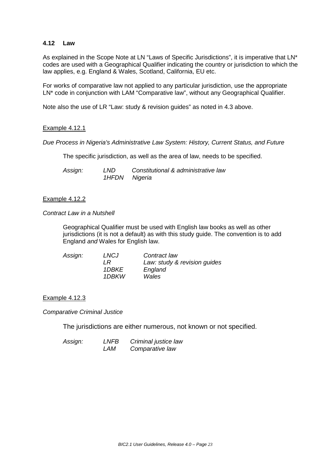## **4.12 Law**

As explained in the Scope Note at LN "Laws of Specific Jurisdictions", it is imperative that LN\* codes are used with a Geographical Qualifier indicating the country or jurisdiction to which the law applies, e.g. England & Wales, Scotland, California, EU etc.

For works of comparative law not applied to any particular jurisdiction, use the appropriate LN\* code in conjunction with LAM "Comparative law", without any Geographical Qualifier.

Note also the use of LR "Law: study & revision guides" as noted in 4.3 above.

## Example 4.12.1

*Due Process in Nigeria's Administrative Law System: History, Current Status, and Future*

The specific jurisdiction, as well as the area of law, needs to be specified.

| Assign: | LND           | Constitutional & administrative law |
|---------|---------------|-------------------------------------|
|         | 1HFDN Nigeria |                                     |

## Example 4.12.2

## *Contract Law in a Nutshell*

Geographical Qualifier must be used with English law books as well as other jurisdictions (it is not a default) as with this study guide. The convention is to add England *and* Wales for English law.

| Assign: | LNCJ  | Contract law                 |
|---------|-------|------------------------------|
|         | I R   | Law: study & revision guides |
|         | 1DBKE | England                      |
|         | 1DBKW | Wales                        |

## Example 4.12.3

*Comparative Criminal Justice* 

The jurisdictions are either numerous, not known or not specified.

| Assign: | LNFB | Criminal justice law |
|---------|------|----------------------|
|         | LAM  | Comparative law      |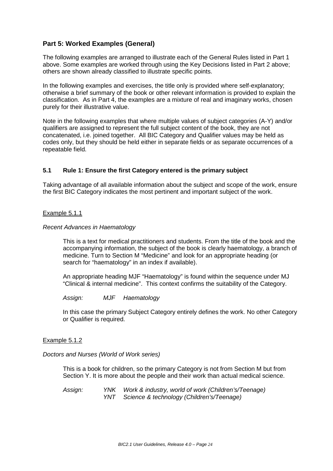## **Part 5: Worked Examples (General)**

The following examples are arranged to illustrate each of the General Rules listed in Part 1 above. Some examples are worked through using the Key Decisions listed in Part 2 above; others are shown already classified to illustrate specific points.

In the following examples and exercises, the title only is provided where self-explanatory; otherwise a brief summary of the book or other relevant information is provided to explain the classification. As in Part 4, the examples are a mixture of real and imaginary works, chosen purely for their illustrative value.

Note in the following examples that where multiple values of subject categories (A-Y) and/or qualifiers are assigned to represent the full subject content of the book, they are not concatenated, i.e. joined together. All BIC Category and Qualifier values may be held as codes only, but they should be held either in separate fields or as separate occurrences of a repeatable field.

## **5.1 Rule 1: Ensure the first Category entered is the primary subject**

Taking advantage of all available information about the subject and scope of the work, ensure the first BIC Category indicates the most pertinent and important subject of the work.

## Example 5.1.1

## *Recent Advances in Haematology*

This is a text for medical practitioners and students. From the title of the book and the accompanying information, the subject of the book is clearly haematology, a branch of medicine. Turn to Section M "Medicine" and look for an appropriate heading (or search for "haematology" in an index if available).

An appropriate heading MJF "Haematology" is found within the sequence under MJ "Clinical & internal medicine". This context confirms the suitability of the Category.

*Assign: MJF Haematology* 

In this case the primary Subject Category entirely defines the work. No other Category or Qualifier is required.

## Example 5.1.2

## *Doctors and Nurses (World of Work series)*

This is a book for children, so the primary Category is not from Section M but from Section Y. It is more about the people and their work than actual medical science.

*Assign: YNK Work & industry, world of work (Children's/Teenage) YNT Science & technology (Children's/Teenage)*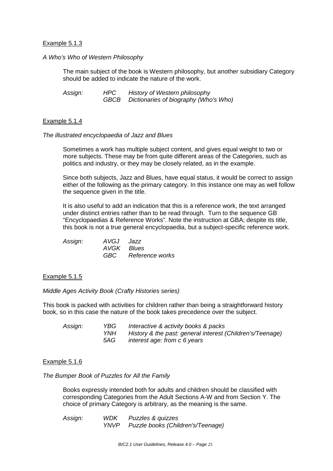## Example 5.1.3

## *A Who's Who of Western Philosophy*

The main subject of the book is Western philosophy, but another subsidiary Category should be added to indicate the nature of the work.

*Assign: HPC History of Western philosophy GBCB Dictionaries of biography (Who's Who)*

## Example 5.1.4

## *The illustrated encyclopaedia of Jazz and Blues*

Sometimes a work has multiple subject content, and gives equal weight to two or more subjects. These may be from quite different areas of the Categories, such as politics and industry, or they may be closely related, as in the example.

Since both subjects, Jazz and Blues, have equal status, it would be correct to assign either of the following as the primary category. In this instance one may as well follow the sequence given in the title.

It is also useful to add an indication that this is a reference work, the text arranged under distinct entries rather than to be read through. Turn to the sequence GB "Encyclopaedias & Reference Works". Note the instruction at GBA; despite its title, this book is not a true general encyclopaedia, but a subject-specific reference work.

| Assign: | AVGJ Jazz  |                     |
|---------|------------|---------------------|
|         | AVGK Blues |                     |
|         |            | GBC Reference works |

## Example 5.1.5

*Middle Ages Activity Book (Crafty Histories series)*

This book is packed with activities for children rather than being a straightforward history book, so in this case the nature of the book takes precedence over the subject.

| Assign: | YBG. | Interactive & activity books & packs                      |
|---------|------|-----------------------------------------------------------|
|         | YNH  | History & the past: general interest (Children's/Teenage) |
|         | 5AG  | interest age: from c 6 years                              |

## Example 5.1.6

## *The Bumper Book of Puzzles for All the Family*

Books expressly intended both for adults and children should be classified with corresponding Categories from the Adult Sections A-W and from Section Y. The choice of primary Category is arbitrary, as the meaning is the same.

*Assign: WDK Puzzles & quizzes YNVP Puzzle books (Children's/Teenage)*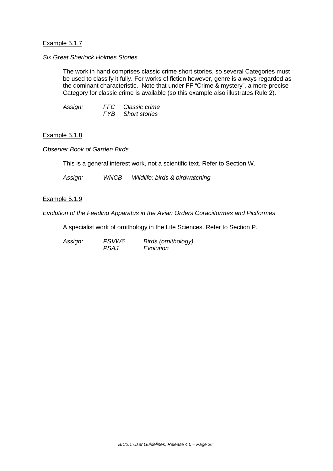## Example 5.1.7

## *Six Great Sherlock Holmes Stories*

The work in hand comprises classic crime short stories, so several Categories must be used to classify it fully. For works of fiction however, genre is always regarded as the dominant characteristic. Note that under FF "Crime & mystery", a more precise Category for classic crime is available (so this example also illustrates Rule 2).

| Assign: | FFC Classic crime        |
|---------|--------------------------|
|         | <b>FYB</b> Short stories |

## Example 5.1.8

*Observer Book of Garden Birds* 

This is a general interest work, not a scientific text. Refer to Section W.

*Assign: WNCB Wildlife: birds & birdwatching*

Example 5.1.9

*Evolution of the Feeding Apparatus in the Avian Orders Coraciiformes and Piciformes*

A specialist work of ornithology in the Life Sciences. Refer to Section P.

*Assign: PSVW6 Birds (ornithology) <i>Evolution*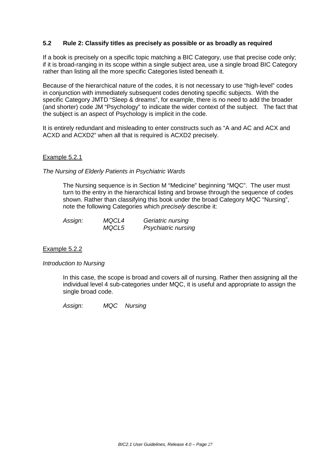## **5.2 Rule 2: Classify titles as precisely as possible or as broadly as required**

If a book is precisely on a specific topic matching a BIC Category, use that precise code only; if it is broad-ranging in its scope within a single subject area, use a single broad BIC Category rather than listing all the more specific Categories listed beneath it.

Because of the hierarchical nature of the codes, it is not necessary to use "high-level" codes in conjunction with immediately subsequent codes denoting specific subjects. With the specific Category JMTD "Sleep & dreams", for example, there is no need to add the broader (and shorter) code JM "Psychology" to indicate the wider context of the subject. The fact that the subject is an aspect of Psychology is implicit in the code.

It is entirely redundant and misleading to enter constructs such as "A and AC and ACX and ACXD and ACXD2" when all that is required is ACXD2 precisely.

## Example 5.2.1

*The Nursing of Elderly Patients in Psychiatric Wards*

The Nursing sequence is in Section M "Medicine" beginning "MQC". The user must turn to the entry in the hierarchical listing and browse through the sequence of codes shown. Rather than classifying this book under the broad Category MQC "Nursing", note the following Categories which *precisely* describe it:

| Assign: | MQCL4 | Geriatric nursing   |
|---------|-------|---------------------|
|         | MQCL5 | Psychiatric nursing |

## Example 5.2.2

## *Introduction to Nursing*

In this case, the scope is broad and covers all of nursing. Rather then assigning all the individual level 4 sub-categories under MQC, it is useful and appropriate to assign the single broad code.

*Assign: MQC Nursing*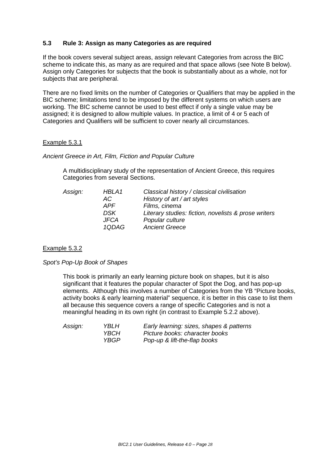## **5.3 Rule 3: Assign as many Categories as are required**

If the book covers several subject areas, assign relevant Categories from across the BIC scheme to indicate this, as many as are required and that space allows (see Note B below). Assign only Categories for subjects that the book is substantially about as a whole, not for subjects that are peripheral.

There are no fixed limits on the number of Categories or Qualifiers that may be applied in the BIC scheme; limitations tend to be imposed by the different systems on which users are working. The BIC scheme cannot be used to best effect if only a single value may be assigned; it is designed to allow multiple values. In practice, a limit of 4 or 5 each of Categories and Qualifiers will be sufficient to cover nearly all circumstances.

## Example 5.3.1

## *Ancient Greece in Art, Film, Fiction and Popular Culture*

A multidisciplinary study of the representation of Ancient Greece, this requires Categories from several Sections.

| Assign: | HBLA1       | Classical history / classical civilisation           |
|---------|-------------|------------------------------------------------------|
|         | AC.         | History of art / art styles                          |
|         | <b>APF</b>  | Films, cinema                                        |
|         | DSK         | Literary studies: fiction, novelists & prose writers |
|         | <b>JFCA</b> | Popular culture                                      |
|         | 1QDAG       | <b>Ancient Greece</b>                                |
|         |             |                                                      |

## Example 5.3.2

## *Spot's Pop-Up Book of Shapes*

This book is primarily an early learning picture book on shapes, but it is also significant that it features the popular character of Spot the Dog, and has pop-up elements. Although this involves a number of Categories from the YB "Picture books, activity books & early learning material" sequence, it is better in this case to list them all because this sequence covers a range of specific Categories and is not a meaningful heading in its own right (in contrast to Example 5.2.2 above).

| Assign: | YBLH        | Early learning: sizes, shapes & patterns |
|---------|-------------|------------------------------------------|
|         | <b>YBCH</b> | Picture books: character books           |
|         | YBGP.       | Pop-up & lift-the-flap books             |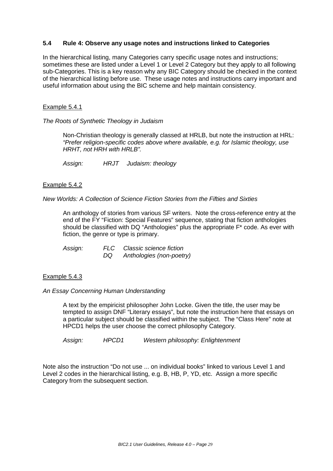## **5.4 Rule 4: Observe any usage notes and instructions linked to Categories**

In the hierarchical listing, many Categories carry specific usage notes and instructions; sometimes these are listed under a Level 1 or Level 2 Category but they apply to all following sub-Categories. This is a key reason why any BIC Category should be checked in the context of the hierarchical listing before use. These usage notes and instructions carry important and useful information about using the BIC scheme and help maintain consistency.

## Example 5.4.1

*The Roots of Synthetic Theology in Judaism*

Non-Christian theology is generally classed at HRLB, but note the instruction at HRL: *"Prefer religion-specific codes above where available, e.g. for Islamic theology, use HRHT, not HRH with HRLB".*

*Assign: HRJT Judaism: theology*

## Example 5.4.2

*New Worlds: A Collection of Science Fiction Stories from the Fifties and Sixties*

An anthology of stories from various SF writers. Note the cross-reference entry at the end of the FY "Fiction: Special Features" sequence, stating that fiction anthologies should be classified with DQ "Anthologies" plus the appropriate F\* code. As ever with fiction, the genre or type is primary.

*Assign: FLC Classic science fiction Anthologies (non-poetry)* 

## Example 5.4.3

*An Essay Concerning Human Understanding*

A text by the empiricist philosopher John Locke. Given the title, the user may be tempted to assign DNF "Literary essays", but note the instruction here that essays on a particular subject should be classified within the subject. The "Class Here" note at HPCD1 helps the user choose the correct philosophy Category.

*Assign: HPCD1 Western philosophy: Enlightenment*

Note also the instruction "Do not use ... on individual books" linked to various Level 1 and Level 2 codes in the hierarchical listing, e.g. B, HB, P, YD, etc. Assign a more specific Category from the subsequent section.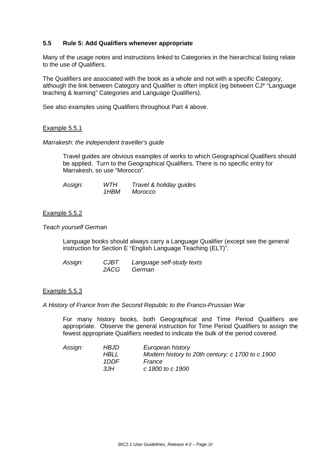## **5.5 Rule 5: Add Qualifiers whenever appropriate**

Many of the usage notes and instructions linked to Categories in the hierarchical listing relate to the use of Qualifiers.

The Qualifiers are associated with the book as a whole and not with a specific Category, although the link between Category and Qualifier is often implicit (eg between CJ\* "Language teaching & learning" Categories and Language Qualifiers).

See also examples using Qualifiers throughout Part 4 above.

## Example 5.5.1

*Marrakesh: the independent traveller's guide*

Travel guides are obvious examples of works to which Geographical Qualifiers should be applied. Turn to the Geographical Qualifiers. There is no specific entry for Marrakesh, so use "Morocco".

| Assign: | WTH  | Travel & holiday guides |
|---------|------|-------------------------|
|         | 1HBM | Morocco                 |

## Example 5.5.2

*Teach yourself German* 

Language books should always carry a Language Qualifier (except see the general instruction for Section E "English Language Teaching (ELT)".

| Assign: | <b>CJBT</b> | Language self-study texts |
|---------|-------------|---------------------------|
|         | 2ACG        | German                    |

## Example 5.5.3

*A History of France from the Second Republic to the Franco-Prussian War* 

For many history books, both Geographical and Time Period Qualifiers are appropriate. Observe the general instruction for Time Period Qualifiers to assign the fewest appropriate Qualifiers needed to indicate the bulk of the period covered.

| Assign: | <i>HBJD</i> | European history                                 |
|---------|-------------|--------------------------------------------------|
|         | HBLL        | Modern history to 20th century: c 1700 to c 1900 |
|         | 1DDF        | France                                           |
|         | ЗH          | c 1800 to c 1900                                 |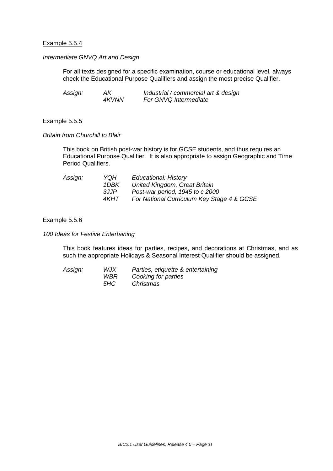## Example 5.5.4

## *Intermediate GNVQ Art and Design*

For all texts designed for a specific examination, course or educational level, always check the Educational Purpose Qualifiers and assign the most precise Qualifier.

| Assign: | AK.   | Industrial / commercial art & design |
|---------|-------|--------------------------------------|
|         | 4KVNN | For GNVQ Intermediate                |

#### Example 5.5.5

#### *Britain from Churchill to Blair*

This book on British post-war history is for GCSE students, and thus requires an Educational Purpose Qualifier. It is also appropriate to assign Geographic and Time Period Qualifiers.

| Assign: | YQH   | <b>Educational: History</b>                |
|---------|-------|--------------------------------------------|
|         | 1DBK  | United Kingdom, Great Britain              |
|         | 3JJP  | Post-war period, 1945 to c 2000            |
|         | 4KHT. | For National Curriculum Key Stage 4 & GCSE |

#### Example 5.5.6

*100 Ideas for Festive Entertaining*

This book features ideas for parties, recipes, and decorations at Christmas, and as such the appropriate Holidays & Seasonal Interest Qualifier should be assigned.

| Assign: | WJX  | Parties, etiquette & entertaining |
|---------|------|-----------------------------------|
|         | WBR. | Cooking for parties               |
|         | 5HC  | Christmas                         |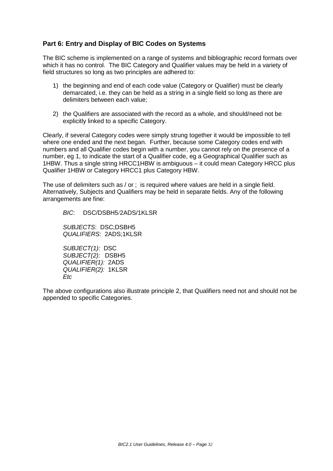## **Part 6: Entry and Display of BIC Codes on Systems**

The BIC scheme is implemented on a range of systems and bibliographic record formats over which it has no control. The BIC Category and Qualifier values may be held in a variety of field structures so long as two principles are adhered to:

- 1) the beginning and end of each code value (Category or Qualifier) must be clearly demarcated, i.e. they can be held as a string in a single field so long as there are delimiters between each value;
- 2) the Qualifiers are associated with the record as a whole, and should/need not be explicitly linked to a specific Category.

Clearly, if several Category codes were simply strung together it would be impossible to tell where one ended and the next began. Further, because some Category codes end with numbers and all Qualifier codes begin with a number, you cannot rely on the presence of a number, eg 1, to indicate the start of a Qualifier code, eg a Geographical Qualifier such as 1HBW. Thus a single string HRCC1HBW is ambiguous – it could mean Category HRCC plus Qualifier 1HBW or Category HRCC1 plus Category HBW.

The use of delimiters such as / or ; is required where values are held in a single field. Alternatively, Subjects and Qualifiers may be held in separate fields. Any of the following arrangements are fine:

*BIC*: DSC/DSBH5/2ADS/1KLSR

*SUBJECTS*: DSC;DSBH5 *QUALIFIERS*: 2ADS;1KLSR

*SUBJECT(1):* DSC *SUBJECT(2):* DSBH5 *QUALIFIER(1):* 2ADS *QUALIFIER(2):* 1KLSR *Etc*

The above configurations also illustrate principle 2, that Qualifiers need not and should not be appended to specific Categories.